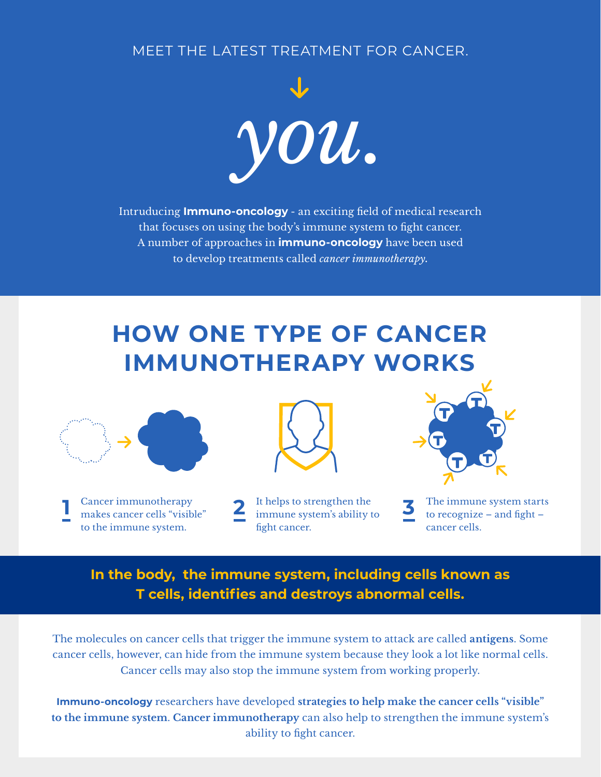MEET THE LATEST TREATMENT FOR CANCER.



Intruducing **Immuno-oncology** - an exciting field of medical research that focuses on using the body's immune system to fight cancer. A number of approaches in **immuno-oncology** have been used to develop treatments called *cancer immunotherapy***.**

## **HOW ONE TYPE OF CANCER IMMUNOTHERAPY WORKS**



Cancer immunotherapy makes cancer cells "visible" to the immune system. **1** Cancer immunotherapy **1 1 2 1 i b immune system's ability to <b>1 1 1 1 1 1 1 1 11 11 11 11 11 11 11 11 11 11 11 11 11 11 11 11 11 11 11 11 11 11 11** 



It helps to strengthen the fight cancer.



The immune system starts to recognize – and fight – cancer cells.

## **In the body, the immune system, including cells known as T cells, identifies and destroys abnormal cells.**

The molecules on cancer cells that trigger the immune system to attack are called **antigens**. Some cancer cells, however, can hide from the immune system because they look a lot like normal cells. Cancer cells may also stop the immune system from working properly.

**Immuno-oncology** researchers have developed **strategies to help make the cancer cells "visible" to the immune system**. **Cancer immunotherapy** can also help to strengthen the immune system's ability to fight cancer.